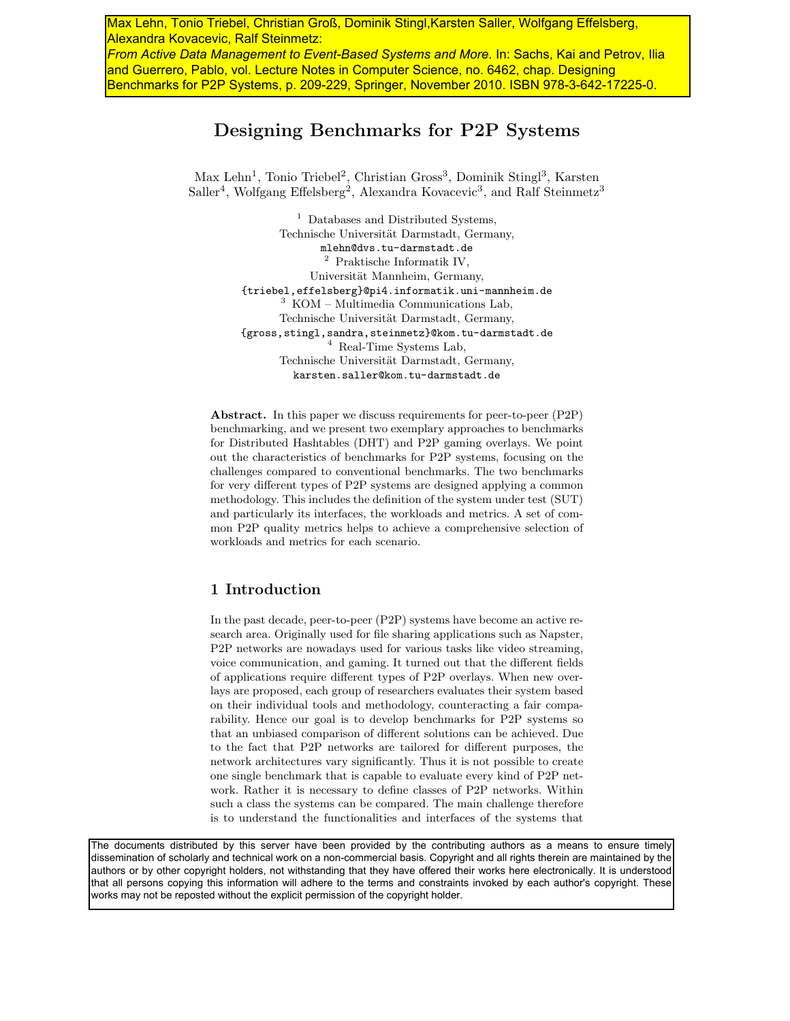Max Lehn, Tonio Triebel, Christian Groß, Dominik Stingl,Karsten Saller, Wolfgang Effelsberg, Alexandra Kovacevic, Ralf Steinmetz: *From Active Data Management to Event-Based Systems and More*. In: Sachs, Kai and Petrov, Ilia and Guerrero, Pablo, vol. Lecture Notes in Computer Science, no. 6462, chap. Designing Benchmarks for P2P Systems, p. 209-229, Springer, November 2010. ISBN 978-3-642-17225-0.

# Designing Benchmarks for P2P Systems

Max Lehn<sup>1</sup>, Tonio Triebel<sup>2</sup>, Christian Gross<sup>3</sup>, Dominik Stingl<sup>3</sup>, Karsten Saller<sup>4</sup>, Wolfgang Effelsberg<sup>2</sup>, Alexandra Kovacevic<sup>3</sup>, and Ralf Steinmetz<sup>3</sup>

> <sup>1</sup> Databases and Distributed Systems, Technische Universität Darmstadt, Germany, mlehn@dvs.tu-darmstadt.de <sup>2</sup> Praktische Informatik IV, Universität Mannheim, Germany, {triebel,effelsberg}@pi4.informatik.uni-mannheim.de  $3$  KOM – Multimedia Communications Lab, Technische Universität Darmstadt, Germany, {gross,stingl,sandra,steinmetz}@kom.tu-darmstadt.de <sup>4</sup> Real-Time Systems Lab, Technische Universität Darmstadt, Germany, karsten.saller@kom.tu-darmstadt.de

Abstract. In this paper we discuss requirements for peer-to-peer (P2P) benchmarking, and we present two exemplary approaches to benchmarks for Distributed Hashtables (DHT) and P2P gaming overlays. We point out the characteristics of benchmarks for P2P systems, focusing on the challenges compared to conventional benchmarks. The two benchmarks for very different types of P2P systems are designed applying a common methodology. This includes the definition of the system under test (SUT) and particularly its interfaces, the workloads and metrics. A set of common P2P quality metrics helps to achieve a comprehensive selection of workloads and metrics for each scenario.

# 1 Introduction

In the past decade, peer-to-peer (P2P) systems have become an active research area. Originally used for file sharing applications such as Napster, P2P networks are nowadays used for various tasks like video streaming, voice communication, and gaming. It turned out that the different fields of applications require different types of P2P overlays. When new overlays are proposed, each group of researchers evaluates their system based on their individual tools and methodology, counteracting a fair comparability. Hence our goal is to develop benchmarks for P2P systems so that an unbiased comparison of different solutions can be achieved. Due to the fact that P2P networks are tailored for different purposes, the network architectures vary significantly. Thus it is not possible to create one single benchmark that is capable to evaluate every kind of P2P network. Rather it is necessary to define classes of P2P networks. Within such a class the systems can be compared. The main challenge therefore is to understand the functionalities and interfaces of the systems that

The documents distributed by this server have been provided by the contributing authors as a means to ensure timely dissemination of scholarly and technical work on a non-commercial basis. Copyright and all rights therein are maintained by the authors or by other copyright holders, not withstanding that they have offered their works here electronically. It is understood that all persons copying this information will adhere to the terms and constraints invoked by each author's copyright. These works may not be reposted without the explicit permission of the copyright holder.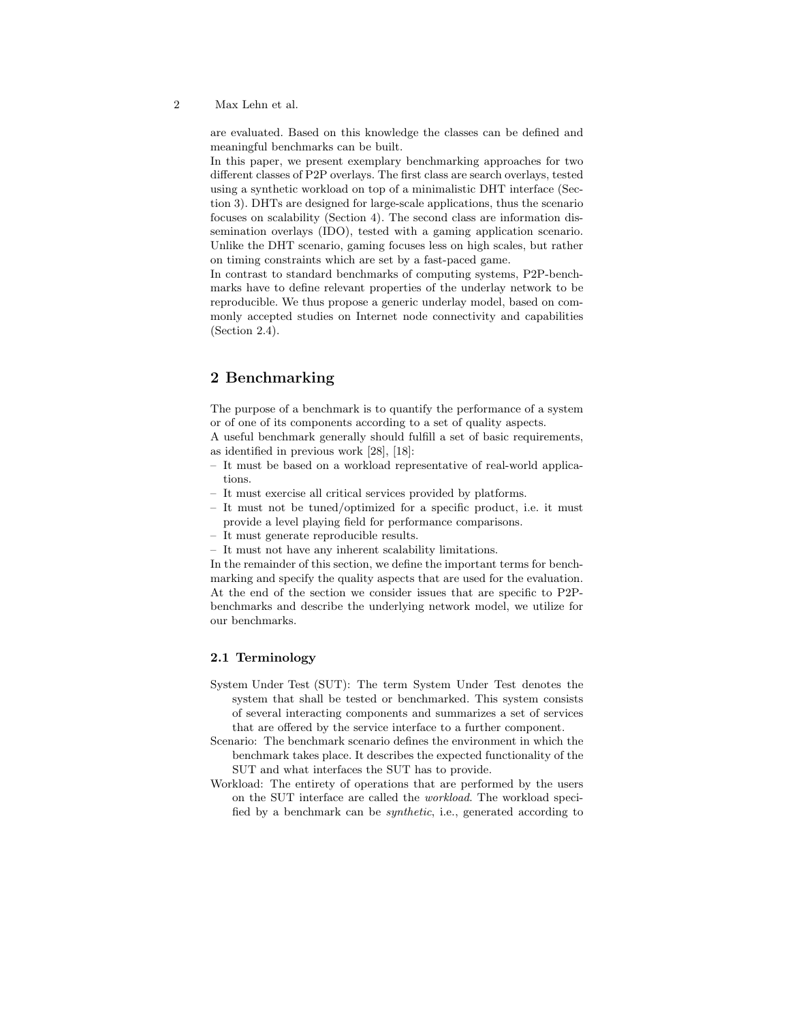are evaluated. Based on this knowledge the classes can be defined and meaningful benchmarks can be built.

In this paper, we present exemplary benchmarking approaches for two different classes of P2P overlays. The first class are search overlays, tested using a synthetic workload on top of a minimalistic DHT interface (Section 3). DHTs are designed for large-scale applications, thus the scenario focuses on scalability (Section 4). The second class are information dissemination overlays (IDO), tested with a gaming application scenario. Unlike the DHT scenario, gaming focuses less on high scales, but rather on timing constraints which are set by a fast-paced game.

In contrast to standard benchmarks of computing systems, P2P-benchmarks have to define relevant properties of the underlay network to be reproducible. We thus propose a generic underlay model, based on commonly accepted studies on Internet node connectivity and capabilities (Section 2.4).

# 2 Benchmarking

The purpose of a benchmark is to quantify the performance of a system or of one of its components according to a set of quality aspects.

A useful benchmark generally should fulfill a set of basic requirements, as identified in previous work [28], [18]:

- It must be based on a workload representative of real-world applications.
- It must exercise all critical services provided by platforms.
- It must not be tuned/optimized for a specific product, i.e. it must provide a level playing field for performance comparisons.
- It must generate reproducible results.
- It must not have any inherent scalability limitations.

In the remainder of this section, we define the important terms for benchmarking and specify the quality aspects that are used for the evaluation. At the end of the section we consider issues that are specific to P2Pbenchmarks and describe the underlying network model, we utilize for our benchmarks.

### 2.1 Terminology

- System Under Test (SUT): The term System Under Test denotes the system that shall be tested or benchmarked. This system consists of several interacting components and summarizes a set of services that are offered by the service interface to a further component.
- Scenario: The benchmark scenario defines the environment in which the benchmark takes place. It describes the expected functionality of the SUT and what interfaces the SUT has to provide.
- Workload: The entirety of operations that are performed by the users on the SUT interface are called the workload. The workload specified by a benchmark can be synthetic, i.e., generated according to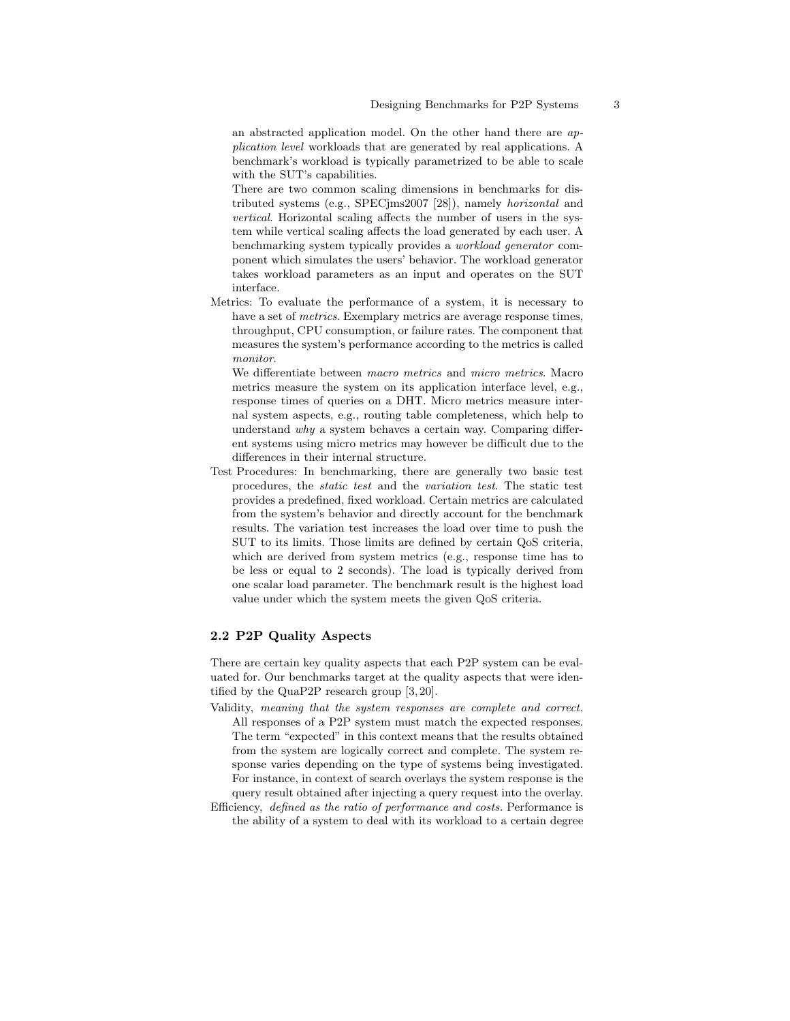an abstracted application model. On the other hand there are application level workloads that are generated by real applications. A benchmark's workload is typically parametrized to be able to scale with the SUT's capabilities.

There are two common scaling dimensions in benchmarks for distributed systems (e.g., SPECjms2007 [28]), namely horizontal and vertical. Horizontal scaling affects the number of users in the system while vertical scaling affects the load generated by each user. A benchmarking system typically provides a workload generator component which simulates the users' behavior. The workload generator takes workload parameters as an input and operates on the SUT interface.

Metrics: To evaluate the performance of a system, it is necessary to have a set of *metrics*. Exemplary metrics are average response times, throughput, CPU consumption, or failure rates. The component that measures the system's performance according to the metrics is called monitor.

We differentiate between macro metrics and micro metrics. Macro metrics measure the system on its application interface level, e.g., response times of queries on a DHT. Micro metrics measure internal system aspects, e.g., routing table completeness, which help to understand why a system behaves a certain way. Comparing different systems using micro metrics may however be difficult due to the differences in their internal structure.

Test Procedures: In benchmarking, there are generally two basic test procedures, the static test and the variation test. The static test provides a predefined, fixed workload. Certain metrics are calculated from the system's behavior and directly account for the benchmark results. The variation test increases the load over time to push the SUT to its limits. Those limits are defined by certain QoS criteria, which are derived from system metrics (e.g., response time has to be less or equal to 2 seconds). The load is typically derived from one scalar load parameter. The benchmark result is the highest load value under which the system meets the given QoS criteria.

#### 2.2 P2P Quality Aspects

There are certain key quality aspects that each P2P system can be evaluated for. Our benchmarks target at the quality aspects that were identified by the QuaP2P research group [3, 20].

- Validity, meaning that the system responses are complete and correct. All responses of a P2P system must match the expected responses. The term "expected" in this context means that the results obtained from the system are logically correct and complete. The system response varies depending on the type of systems being investigated. For instance, in context of search overlays the system response is the query result obtained after injecting a query request into the overlay.
- Efficiency, defined as the ratio of performance and costs. Performance is the ability of a system to deal with its workload to a certain degree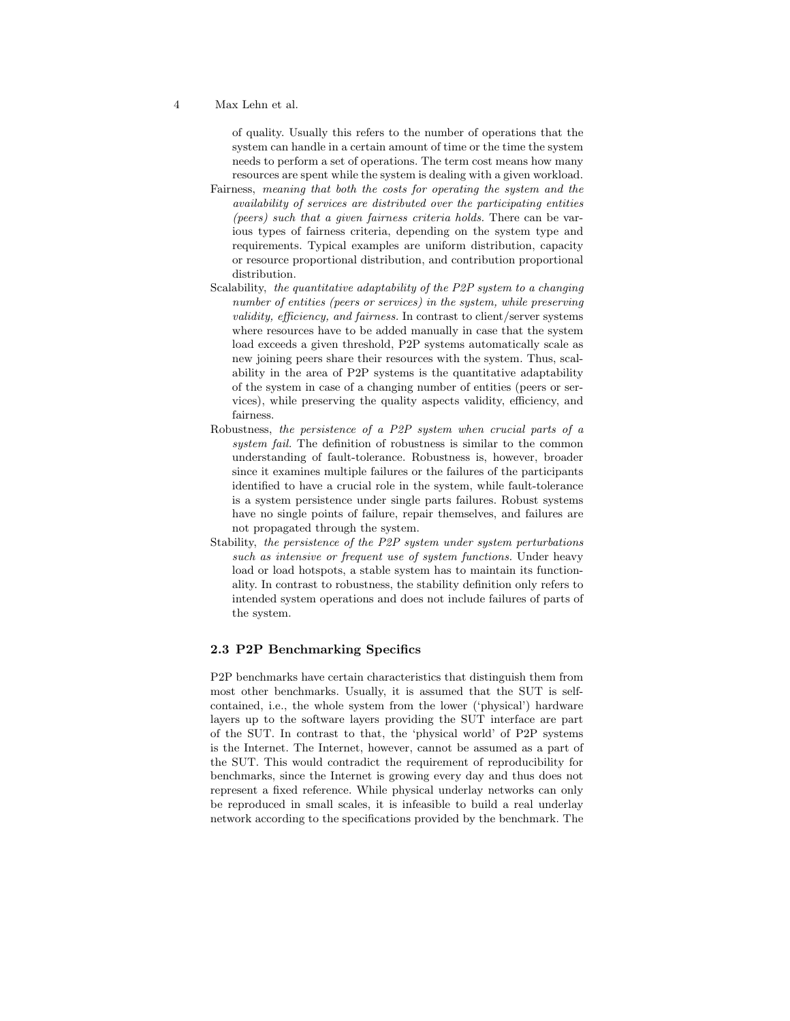of quality. Usually this refers to the number of operations that the system can handle in a certain amount of time or the time the system needs to perform a set of operations. The term cost means how many resources are spent while the system is dealing with a given workload.

- Fairness, meaning that both the costs for operating the system and the availability of services are distributed over the participating entities (peers) such that a given fairness criteria holds. There can be various types of fairness criteria, depending on the system type and requirements. Typical examples are uniform distribution, capacity or resource proportional distribution, and contribution proportional distribution.
- Scalability, the quantitative adaptability of the P2P system to a changing number of entities (peers or services) in the system, while preserving validity, efficiency, and fairness. In contrast to client/server systems where resources have to be added manually in case that the system load exceeds a given threshold, P2P systems automatically scale as new joining peers share their resources with the system. Thus, scalability in the area of P2P systems is the quantitative adaptability of the system in case of a changing number of entities (peers or services), while preserving the quality aspects validity, efficiency, and fairness.
- Robustness, the persistence of a P2P system when crucial parts of a system fail. The definition of robustness is similar to the common understanding of fault-tolerance. Robustness is, however, broader since it examines multiple failures or the failures of the participants identified to have a crucial role in the system, while fault-tolerance is a system persistence under single parts failures. Robust systems have no single points of failure, repair themselves, and failures are not propagated through the system.
- Stability, the persistence of the P2P system under system perturbations such as intensive or frequent use of system functions. Under heavy load or load hotspots, a stable system has to maintain its functionality. In contrast to robustness, the stability definition only refers to intended system operations and does not include failures of parts of the system.

#### 2.3 P2P Benchmarking Specifics

P2P benchmarks have certain characteristics that distinguish them from most other benchmarks. Usually, it is assumed that the SUT is selfcontained, i.e., the whole system from the lower ('physical') hardware layers up to the software layers providing the SUT interface are part of the SUT. In contrast to that, the 'physical world' of P2P systems is the Internet. The Internet, however, cannot be assumed as a part of the SUT. This would contradict the requirement of reproducibility for benchmarks, since the Internet is growing every day and thus does not represent a fixed reference. While physical underlay networks can only be reproduced in small scales, it is infeasible to build a real underlay network according to the specifications provided by the benchmark. The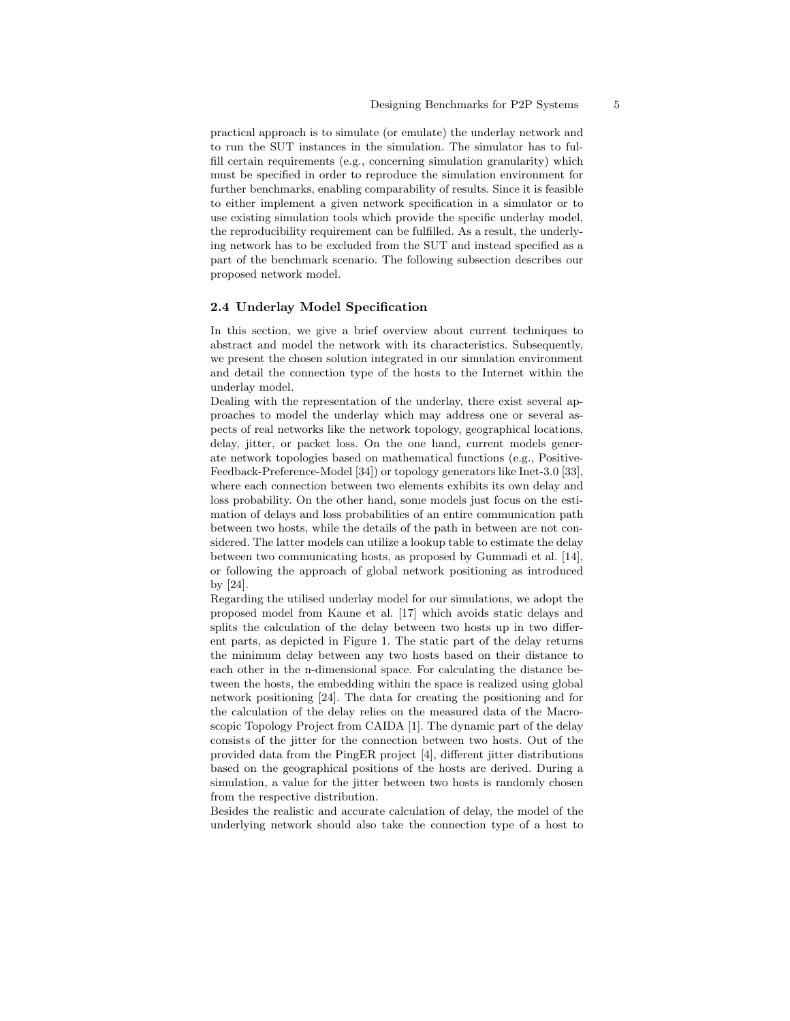practical approach is to simulate (or emulate) the underlay network and to run the SUT instances in the simulation. The simulator has to fulfill certain requirements (e.g., concerning simulation granularity) which must be specified in order to reproduce the simulation environment for further benchmarks, enabling comparability of results. Since it is feasible to either implement a given network specification in a simulator or to use existing simulation tools which provide the specific underlay model, the reproducibility requirement can be fulfilled. As a result, the underlying network has to be excluded from the SUT and instead specified as a part of the benchmark scenario. The following subsection describes our proposed network model.

#### 2.4 Underlay Model Specification

In this section, we give a brief overview about current techniques to abstract and model the network with its characteristics. Subsequently, we present the chosen solution integrated in our simulation environment and detail the connection type of the hosts to the Internet within the underlay model.

Dealing with the representation of the underlay, there exist several approaches to model the underlay which may address one or several aspects of real networks like the network topology, geographical locations, delay, jitter, or packet loss. On the one hand, current models generate network topologies based on mathematical functions (e.g., Positive-Feedback-Preference-Model [34]) or topology generators like Inet-3.0 [33], where each connection between two elements exhibits its own delay and loss probability. On the other hand, some models just focus on the estimation of delays and loss probabilities of an entire communication path between two hosts, while the details of the path in between are not considered. The latter models can utilize a lookup table to estimate the delay between two communicating hosts, as proposed by Gummadi et al. [14], or following the approach of global network positioning as introduced by [24].

Regarding the utilised underlay model for our simulations, we adopt the proposed model from Kaune et al. [17] which avoids static delays and splits the calculation of the delay between two hosts up in two different parts, as depicted in Figure 1. The static part of the delay returns the minimum delay between any two hosts based on their distance to each other in the n-dimensional space. For calculating the distance between the hosts, the embedding within the space is realized using global network positioning [24]. The data for creating the positioning and for the calculation of the delay relies on the measured data of the Macroscopic Topology Project from CAIDA [1]. The dynamic part of the delay consists of the jitter for the connection between two hosts. Out of the provided data from the PingER project [4], different jitter distributions based on the geographical positions of the hosts are derived. During a simulation, a value for the jitter between two hosts is randomly chosen from the respective distribution.

Besides the realistic and accurate calculation of delay, the model of the underlying network should also take the connection type of a host to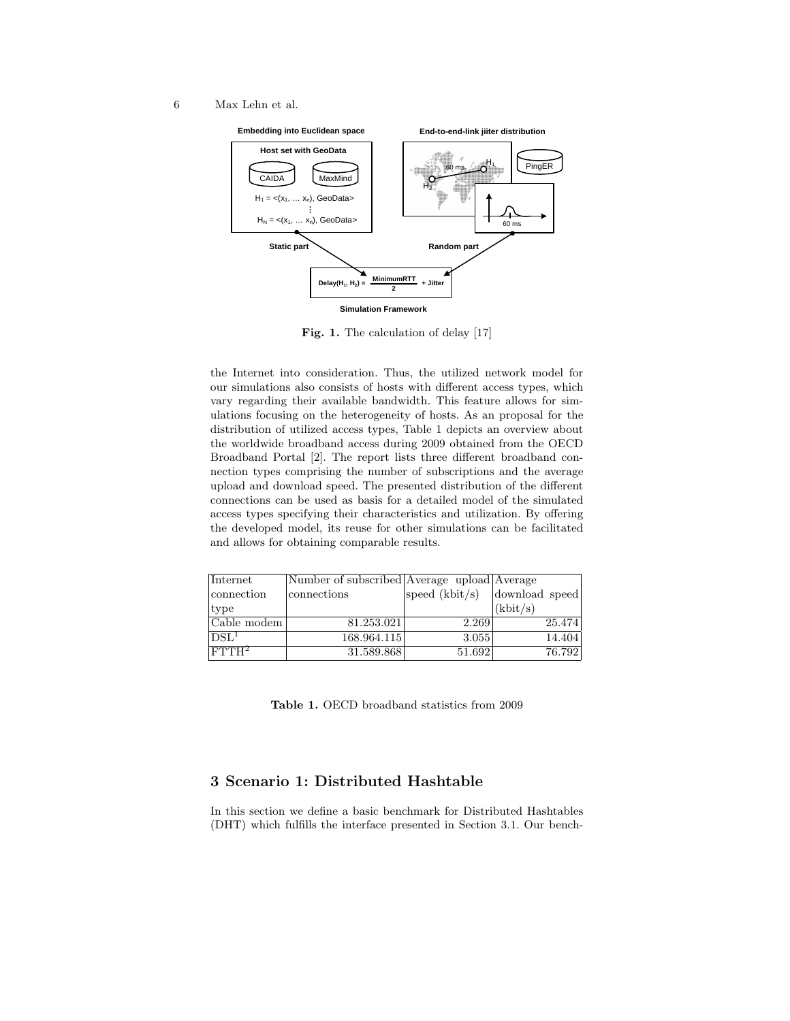

Fig. 1. The calculation of delay [17]

the Internet into consideration. Thus, the utilized network model for our simulations also consists of hosts with different access types, which vary regarding their available bandwidth. This feature allows for simulations focusing on the heterogeneity of hosts. As an proposal for the distribution of utilized access types, Table 1 depicts an overview about the worldwide broadband access during 2009 obtained from the OECD Broadband Portal [2]. The report lists three different broadband connection types comprising the number of subscriptions and the average upload and download speed. The presented distribution of the different connections can be used as basis for a detailed model of the simulated access types specifying their characteristics and utilization. By offering the developed model, its reuse for other simulations can be facilitated and allows for obtaining comparable results.

| Internet              | Number of subscribed Average upload Average |                |                |
|-----------------------|---------------------------------------------|----------------|----------------|
| connection            | connections                                 | speed (kbit/s) | download speed |
| type                  |                                             |                | (kbit/s)       |
| $ {\rm Cable\ modem}$ | 81.253.021                                  | 2.269          | 25.474         |
| $\rm{DSL}^1$          | 168.964.115                                 | 3.055          | 14.404         |
| FTTH <sup>2</sup>     | 31.589.868                                  | 51.692         | 76.792         |

Table 1. OECD broadband statistics from 2009

# 3 Scenario 1: Distributed Hashtable

In this section we define a basic benchmark for Distributed Hashtables (DHT) which fulfills the interface presented in Section 3.1. Our bench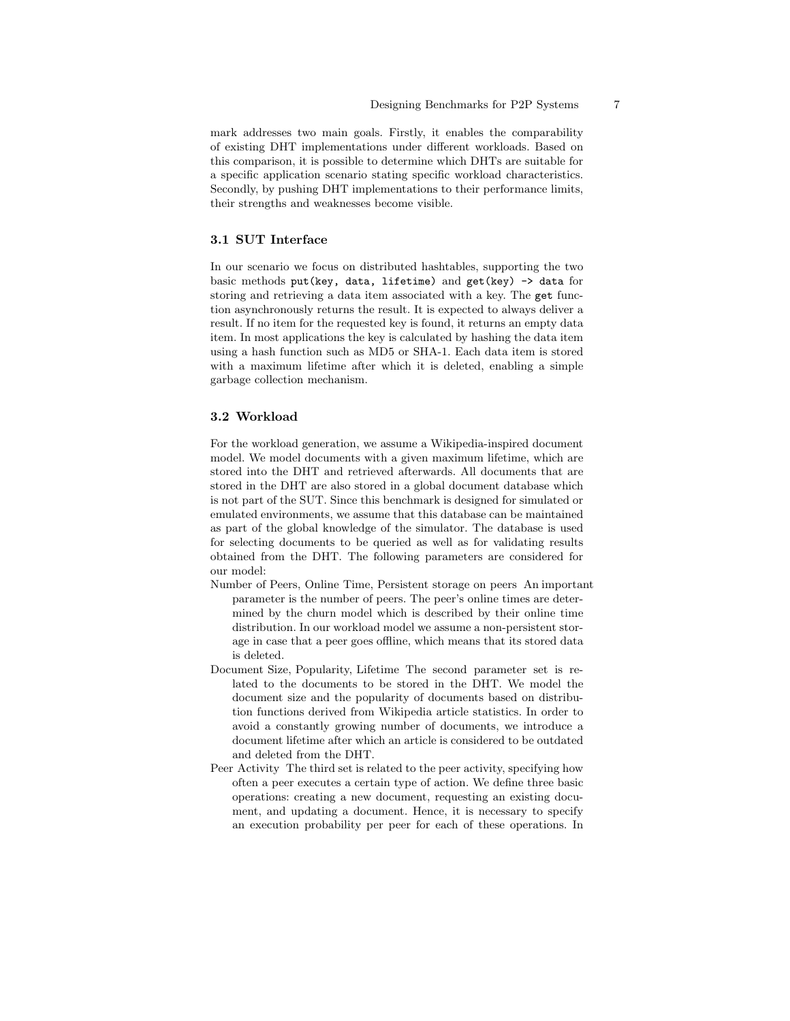mark addresses two main goals. Firstly, it enables the comparability of existing DHT implementations under different workloads. Based on this comparison, it is possible to determine which DHTs are suitable for a specific application scenario stating specific workload characteristics. Secondly, by pushing DHT implementations to their performance limits, their strengths and weaknesses become visible.

#### 3.1 SUT Interface

In our scenario we focus on distributed hashtables, supporting the two basic methods put(key, data, lifetime) and get(key) -> data for storing and retrieving a data item associated with a key. The get function asynchronously returns the result. It is expected to always deliver a result. If no item for the requested key is found, it returns an empty data item. In most applications the key is calculated by hashing the data item using a hash function such as MD5 or SHA-1. Each data item is stored with a maximum lifetime after which it is deleted, enabling a simple garbage collection mechanism.

#### 3.2 Workload

For the workload generation, we assume a Wikipedia-inspired document model. We model documents with a given maximum lifetime, which are stored into the DHT and retrieved afterwards. All documents that are stored in the DHT are also stored in a global document database which is not part of the SUT. Since this benchmark is designed for simulated or emulated environments, we assume that this database can be maintained as part of the global knowledge of the simulator. The database is used for selecting documents to be queried as well as for validating results obtained from the DHT. The following parameters are considered for our model:

- Number of Peers, Online Time, Persistent storage on peers An important parameter is the number of peers. The peer's online times are determined by the churn model which is described by their online time distribution. In our workload model we assume a non-persistent storage in case that a peer goes offline, which means that its stored data is deleted.
- Document Size, Popularity, Lifetime The second parameter set is related to the documents to be stored in the DHT. We model the document size and the popularity of documents based on distribution functions derived from Wikipedia article statistics. In order to avoid a constantly growing number of documents, we introduce a document lifetime after which an article is considered to be outdated and deleted from the DHT.
- Peer Activity The third set is related to the peer activity, specifying how often a peer executes a certain type of action. We define three basic operations: creating a new document, requesting an existing document, and updating a document. Hence, it is necessary to specify an execution probability per peer for each of these operations. In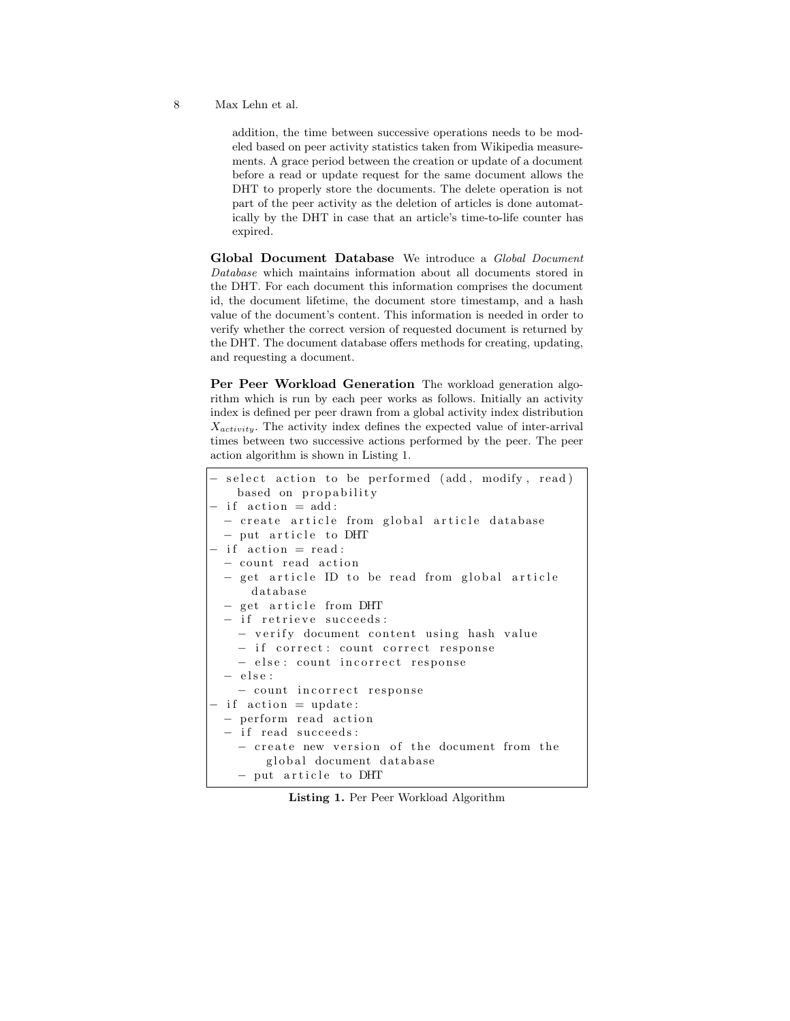addition, the time between successive operations needs to be modeled based on peer activity statistics taken from Wikipedia measurements. A grace period between the creation or update of a document before a read or update request for the same document allows the DHT to properly store the documents. The delete operation is not part of the peer activity as the deletion of articles is done automatically by the DHT in case that an article's time-to-life counter has expired.

Global Document Database We introduce a Global Document Database which maintains information about all documents stored in the DHT. For each document this information comprises the document id, the document lifetime, the document store timestamp, and a hash value of the document's content. This information is needed in order to verify whether the correct version of requested document is returned by the DHT. The document database offers methods for creating, updating, and requesting a document.

Per Peer Workload Generation The workload generation algorithm which is run by each peer works as follows. Initially an activity index is defined per peer drawn from a global activity index distribution  $X_{activity}$ . The activity index defines the expected value of inter-arrival times between two successive actions performed by the peer. The peer action algorithm is shown in Listing 1.

| - select action to be performed (add, modify, read) |  |
|-----------------------------------------------------|--|
| based on propability                                |  |
| $-$ if action $=$ add:                              |  |
| - create article from global article database       |  |
| - put article to DHT                                |  |
| $-$ if action $=$ read:                             |  |
| - count read action                                 |  |
| - get article ID to be read from global article     |  |
| database                                            |  |
| - get article from DHT                              |  |
| - if retrieve succeeds:                             |  |
| - verify document content using hash value          |  |
| - if correct: count correct response                |  |
| - else: count incorrect response                    |  |
| $-$ else :                                          |  |
| - count incorrect response                          |  |
| $-$ if action = update:                             |  |
| - perform read action                               |  |
| - if read succeeds:                                 |  |
| - create new version of the document from the       |  |
| global document database                            |  |
| - put article to DHT                                |  |

Listing 1. Per Peer Workload Algorithm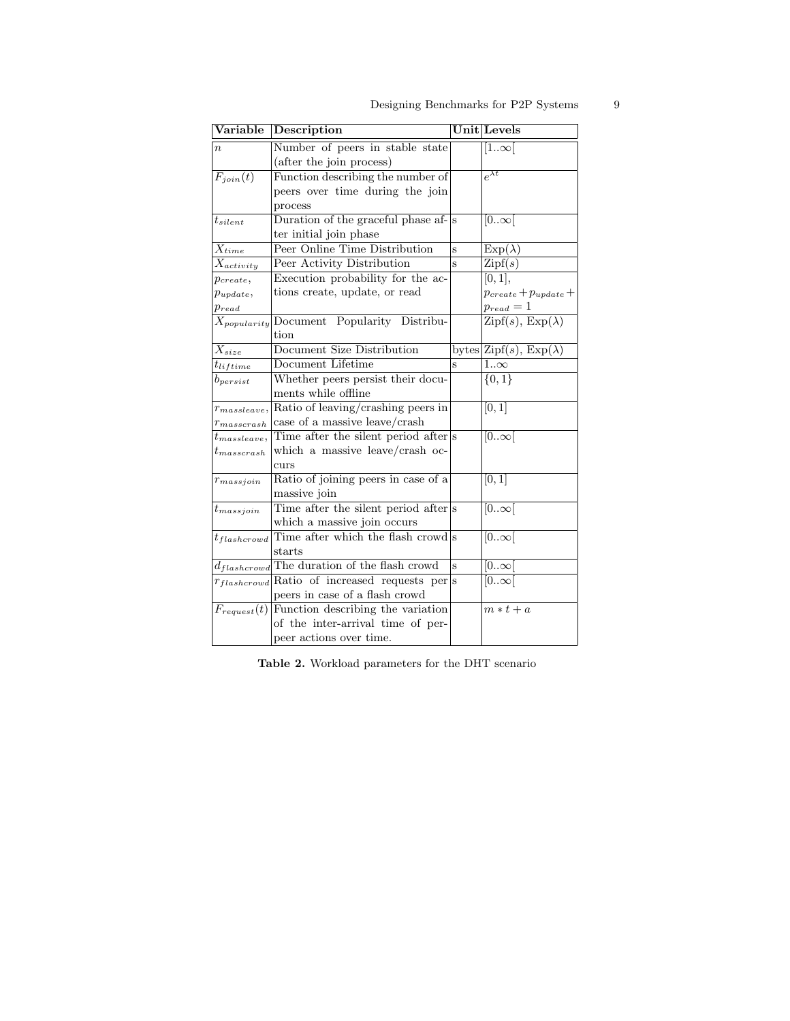| Variable                 | Description                                                 |   | $Unit {\rm Levels}$                                         |
|--------------------------|-------------------------------------------------------------|---|-------------------------------------------------------------|
| $\overline{n}$           | Number of peers in stable state<br>(after the join process) |   | $[1\infty]$                                                 |
| $F_{join}(t)$            | Function describing the number of                           |   | $e^{\lambda t}$                                             |
|                          | peers over time during the join                             |   |                                                             |
|                          | process                                                     |   |                                                             |
| $t_{silent}$             | Duration of the graceful phase af-s                         |   | $[0\infty[$                                                 |
|                          | ter initial join phase                                      |   |                                                             |
| $\overline{\chi}_{time}$ | Peer Online Time Distribution                               | S | $Exp(\lambda)$                                              |
| $X_{activity}$           | Peer Activity Distribution                                  | S | $\mathrm{Zipf}(s)$                                          |
| $p_{create}$             | Execution probability for the ac-                           |   | [0, 1],                                                     |
| $p_{update}$             | tions create, update, or read                               |   | $p_{create} + p_{update} +$                                 |
| $p_{read}$               |                                                             |   | $p_{read}=1$                                                |
|                          | $X_{popularity}$ Document<br>Popularity Distribu-           |   | $\overline{\text{Zipf}(s), \text{Exp}(\lambda)}$            |
|                          | tion                                                        |   |                                                             |
| $X_{size}$               | <b>Document Size Distribution</b>                           |   | bytes $\vert \mathrm{Zipf}(s), \mathrm{Exp}(\lambda) \vert$ |
| $t_{liftime}$            | Document Lifetime                                           | S | $1\infty$                                                   |
| $b_{persist}$            | Whether peers persist their docu-                           |   | $\{\overline{0,1\}}$                                        |
|                          | ments while offline                                         |   |                                                             |
| $r_{massleave}$          | Ratio of leaving/crashing peers in                          |   | [0, 1]                                                      |
| $r_{masscrash}$          | case of a massive leave/crash                               |   |                                                             |
| $t_{massleave},$         | Time after the silent period after $ s $                    |   | $[0\infty]$                                                 |
| $t_{masscrash}$          | which a massive leave/crash oc-                             |   |                                                             |
|                          | curs                                                        |   |                                                             |
| $r_{massjoin}$           | Ratio of joining peers in case of a                         |   | [0, 1]                                                      |
|                          | massive join                                                |   |                                                             |
| $t_{massjoin}$           | Time after the silent period after $ s $                    |   | $\overline{[0\infty]}$                                      |
|                          | which a massive join occurs                                 |   |                                                             |
| $t_{flashcrowd}$         | Time after which the flash crowd s                          |   | $\overline{[0\infty]}$                                      |
|                          | starts                                                      |   |                                                             |
|                          | $d_{flashcrowd}$ The duration of the flash crowd            | S | $[0\infty]$                                                 |
|                          | $r_{flashcrowd}$ Ratio of increased requests per s          |   | $\overline{[0\infty]}$                                      |
|                          | peers in case of a flash crowd                              |   |                                                             |
| $F_{request}(t)$         | Function describing the variation                           |   | $m * t + a$                                                 |
|                          | of the inter-arrival time of per-                           |   |                                                             |
|                          | peer actions over time.                                     |   |                                                             |

Table 2. Workload parameters for the DHT scenario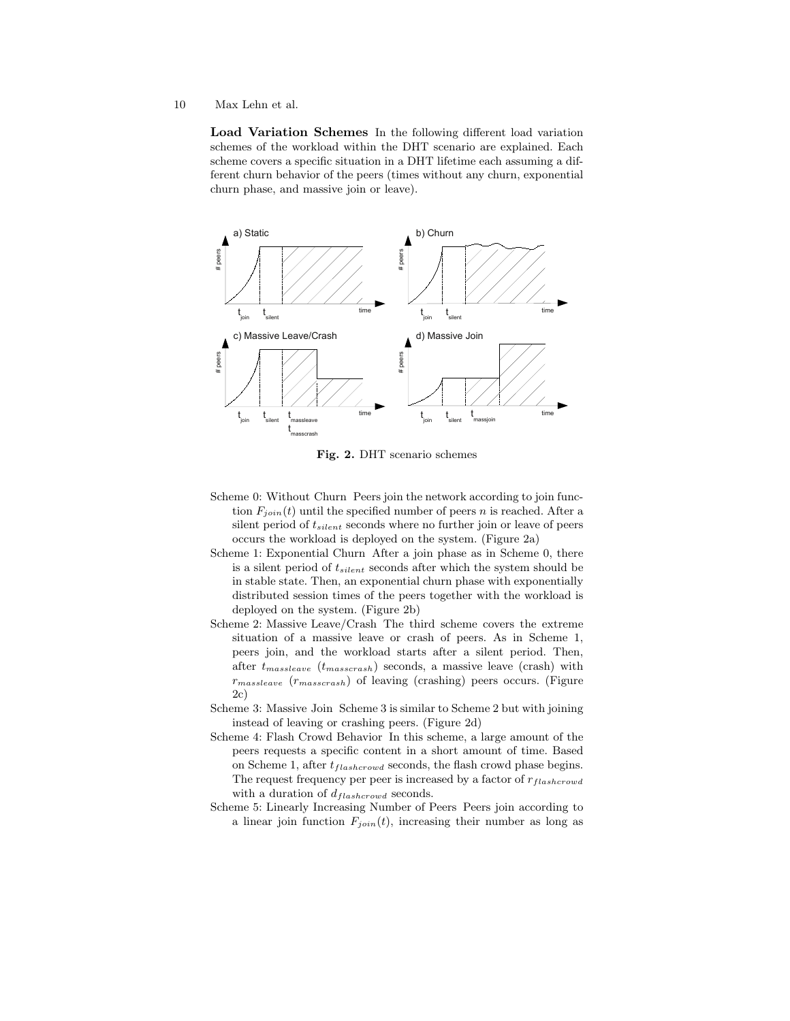Load Variation Schemes In the following different load variation schemes of the workload within the DHT scenario are explained. Each scheme covers a specific situation in a DHT lifetime each assuming a different churn behavior of the peers (times without any churn, exponential churn phase, and massive join or leave).



Fig. 2. DHT scenario schemes

- Scheme 0: Without Churn Peers join the network according to join function  $F_{join}(t)$  until the specified number of peers *n* is reached. After a silent period of  $t_{silent}$  seconds where no further join or leave of peers occurs the workload is deployed on the system. (Figure 2a)
- Scheme 1: Exponential Churn After a join phase as in Scheme 0, there is a silent period of  $t_{silent}$  seconds after which the system should be in stable state. Then, an exponential churn phase with exponentially distributed session times of the peers together with the workload is deployed on the system. (Figure 2b)
- Scheme 2: Massive Leave/Crash The third scheme covers the extreme situation of a massive leave or crash of peers. As in Scheme 1, peers join, and the workload starts after a silent period. Then, after  $t_{massleave}$  ( $t_{masscrash}$ ) seconds, a massive leave (crash) with  $r_{massleave}$  ( $r_{masscrash}$ ) of leaving (crashing) peers occurs. (Figure 2c)
- Scheme 3: Massive Join Scheme 3 is similar to Scheme 2 but with joining instead of leaving or crashing peers. (Figure 2d)
- Scheme 4: Flash Crowd Behavior In this scheme, a large amount of the peers requests a specific content in a short amount of time. Based on Scheme 1, after  $t_{flashcrowd}$  seconds, the flash crowd phase begins. The request frequency per peer is increased by a factor of  $r_{flasherowd}$ with a duration of  $d_{flashcrowd}$  seconds.
- Scheme 5: Linearly Increasing Number of Peers Peers join according to a linear join function  $F_{join}(t)$ , increasing their number as long as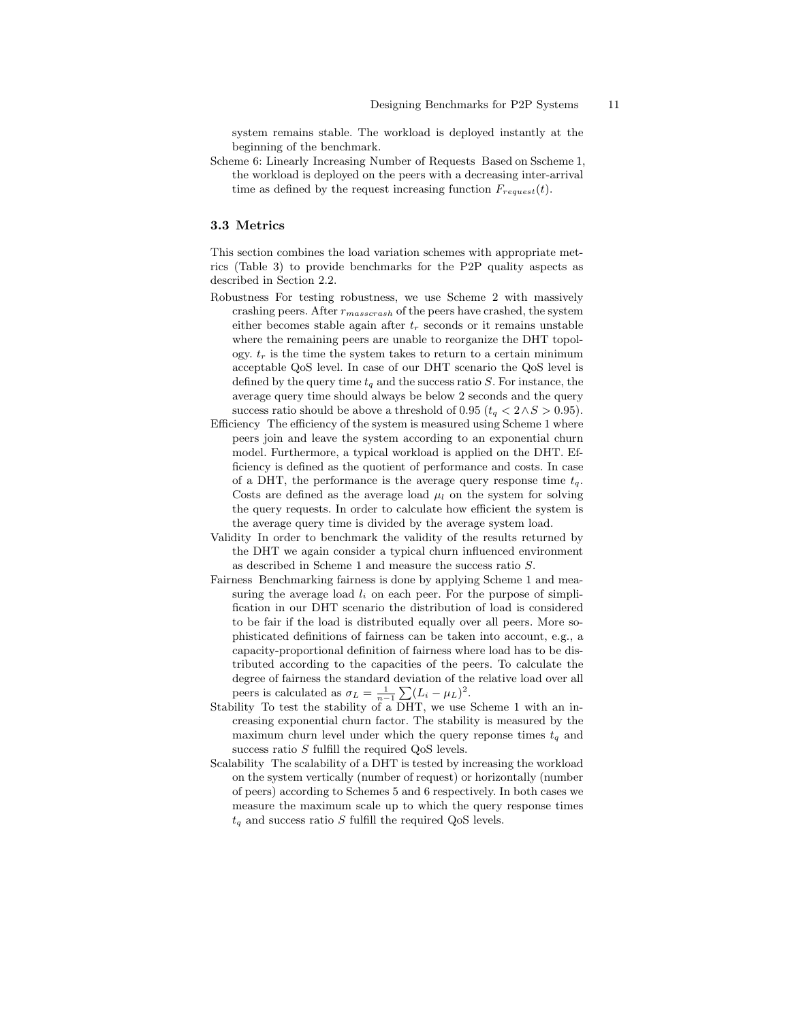system remains stable. The workload is deployed instantly at the beginning of the benchmark.

Scheme 6: Linearly Increasing Number of Requests Based on Sscheme 1, the workload is deployed on the peers with a decreasing inter-arrival time as defined by the request increasing function  $F_{request}(t)$ .

#### 3.3 Metrics

This section combines the load variation schemes with appropriate metrics (Table 3) to provide benchmarks for the P2P quality aspects as described in Section 2.2.

- Robustness For testing robustness, we use Scheme 2 with massively crashing peers. After  $r_{masscrash}$  of the peers have crashed, the system either becomes stable again after  $t_r$  seconds or it remains unstable where the remaining peers are unable to reorganize the DHT topology.  $t_r$  is the time the system takes to return to a certain minimum acceptable QoS level. In case of our DHT scenario the QoS level is defined by the query time  $t_q$  and the success ratio S. For instance, the average query time should always be below 2 seconds and the query success ratio should be above a threshold of 0.95 ( $t_q < 2 \land S > 0.95$ ).
- Efficiency The efficiency of the system is measured using Scheme 1 where peers join and leave the system according to an exponential churn model. Furthermore, a typical workload is applied on the DHT. Efficiency is defined as the quotient of performance and costs. In case of a DHT, the performance is the average query response time  $t_q$ . Costs are defined as the average load  $\mu_l$  on the system for solving the query requests. In order to calculate how efficient the system is the average query time is divided by the average system load.
- Validity In order to benchmark the validity of the results returned by the DHT we again consider a typical churn influenced environment as described in Scheme 1 and measure the success ratio S.
- Fairness Benchmarking fairness is done by applying Scheme 1 and measuring the average load  $l_i$  on each peer. For the purpose of simplification in our DHT scenario the distribution of load is considered to be fair if the load is distributed equally over all peers. More sophisticated definitions of fairness can be taken into account, e.g., a capacity-proportional definition of fairness where load has to be distributed according to the capacities of the peers. To calculate the degree of fairness the standard deviation of the relative load over all peers is calculated as  $\sigma_L = \frac{1}{n-1} \sum (L_i - \mu_L)^2$ .
- Stability To test the stability of a DHT, we use Scheme 1 with an increasing exponential churn factor. The stability is measured by the maximum churn level under which the query reponse times  $t_q$  and success ratio S fulfill the required QoS levels.
- Scalability The scalability of a DHT is tested by increasing the workload on the system vertically (number of request) or horizontally (number of peers) according to Schemes 5 and 6 respectively. In both cases we measure the maximum scale up to which the query response times  $t_q$  and success ratio S fulfill the required QoS levels.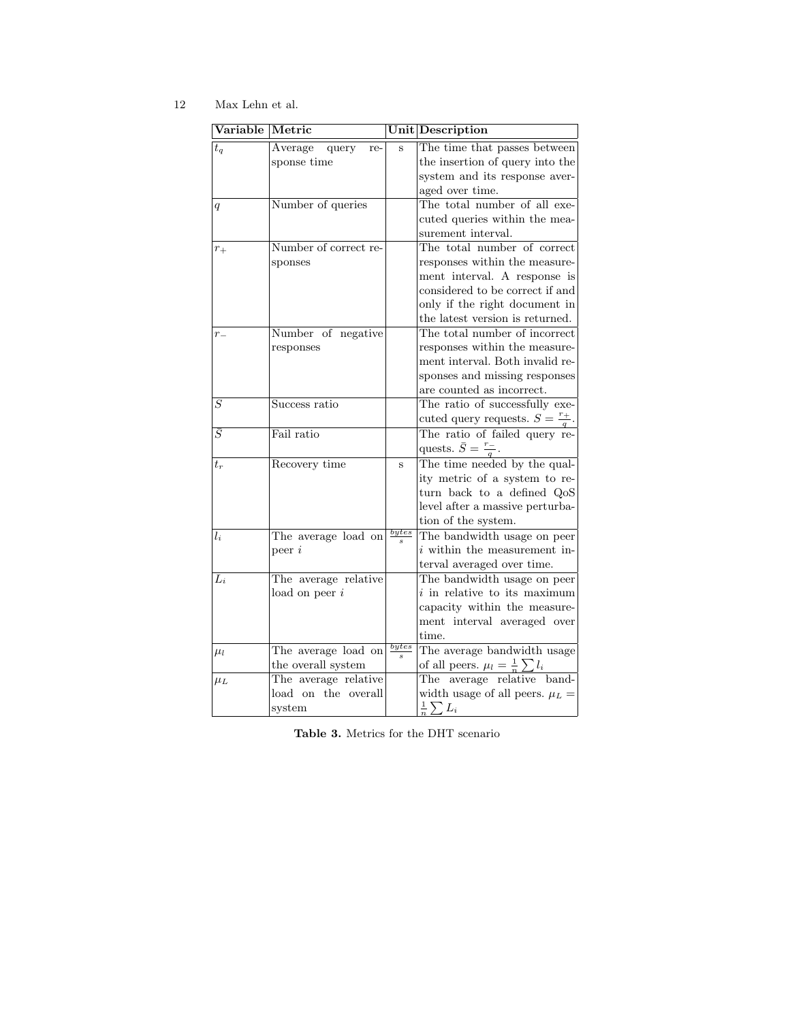| Variable Metric  |                         |                 | Unit Description                             |
|------------------|-------------------------|-----------------|----------------------------------------------|
| $t_a$            | Average<br>query<br>re- | S               | The time that passes between                 |
|                  | sponse time             |                 | the insertion of query into the              |
|                  |                         |                 | system and its response aver-                |
|                  |                         |                 | aged over time.                              |
| $\boldsymbol{q}$ | Number of queries       |                 | The total number of all exe-                 |
|                  |                         |                 | cuted queries within the mea-                |
|                  |                         |                 | surement interval.                           |
| $r_{+}$          | Number of correct re-   |                 | The total number of correct                  |
|                  | sponses                 |                 | responses within the measure-                |
|                  |                         |                 | ment interval. A response is                 |
|                  |                         |                 | considered to be correct if and              |
|                  |                         |                 | only if the right document in                |
|                  |                         |                 | the latest version is returned.              |
| $r_{-}$          | Number of negative      |                 | The total number of incorrect                |
|                  | responses               |                 | responses within the measure-                |
|                  |                         |                 | ment interval. Both invalid re-              |
|                  |                         |                 | sponses and missing responses                |
|                  |                         |                 | are counted as incorrect.                    |
| $\overline{S}$   | Success ratio           |                 | The ratio of successfully exe-               |
|                  |                         |                 | cuted query requests. $S = \frac{r_+}{q}$ .  |
| $\bar{S}$        | Fail ratio              |                 | The ratio of failed query re-                |
|                  |                         |                 | quests. $\bar{S} = \frac{r_-}{q}$ .          |
| $t_r$            | Recovery time           | S               | The time needed by the qual-                 |
|                  |                         |                 | ity metric of a system to re-                |
|                  |                         |                 | turn back to a defined QoS                   |
|                  |                         |                 | level after a massive perturba-              |
|                  |                         |                 | tion of the system.                          |
| $l_i$            | The average load on     | $rac{bytes}{s}$ | The bandwidth usage on peer                  |
|                  | peer $i$                |                 | $i$ within the measurement in-               |
|                  |                         |                 | terval averaged over time.                   |
| $L_i$            | The average relative    |                 | The bandwidth usage on peer                  |
|                  | load on peer $i$        |                 | $i$ in relative to its maximum               |
|                  |                         |                 | capacity within the measure-                 |
|                  |                         |                 | ment interval averaged over                  |
|                  |                         |                 | time.                                        |
| $\mu_l$          | The average load on     | $_{bytes}$      | The average bandwidth usage                  |
|                  | the overall system      |                 | of all peers. $\mu_l = \frac{1}{n} \sum l_i$ |
| $\mu_L$          | The average relative    |                 | The average relative band-                   |
|                  | load on the overall     |                 | width usage of all peers. $\mu_L =$          |
|                  | system                  |                 | $rac{1}{n} \sum L_i$                         |

Table 3. Metrics for the DHT scenario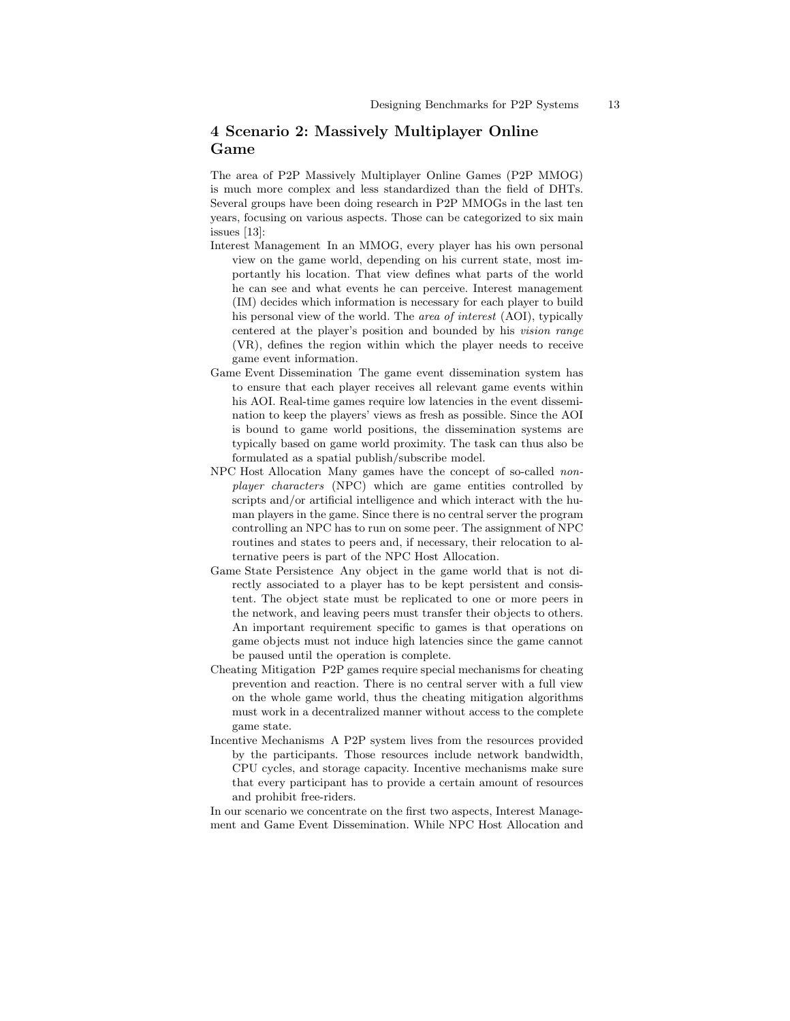# 4 Scenario 2: Massively Multiplayer Online Game

The area of P2P Massively Multiplayer Online Games (P2P MMOG) is much more complex and less standardized than the field of DHTs. Several groups have been doing research in P2P MMOGs in the last ten years, focusing on various aspects. Those can be categorized to six main issues [13]:

- Interest Management In an MMOG, every player has his own personal view on the game world, depending on his current state, most importantly his location. That view defines what parts of the world he can see and what events he can perceive. Interest management (IM) decides which information is necessary for each player to build his personal view of the world. The *area of interest* (AOI), typically centered at the player's position and bounded by his vision range (VR), defines the region within which the player needs to receive game event information.
- Game Event Dissemination The game event dissemination system has to ensure that each player receives all relevant game events within his AOI. Real-time games require low latencies in the event dissemination to keep the players' views as fresh as possible. Since the AOI is bound to game world positions, the dissemination systems are typically based on game world proximity. The task can thus also be formulated as a spatial publish/subscribe model.
- NPC Host Allocation Many games have the concept of so-called nonplayer characters (NPC) which are game entities controlled by scripts and/or artificial intelligence and which interact with the human players in the game. Since there is no central server the program controlling an NPC has to run on some peer. The assignment of NPC routines and states to peers and, if necessary, their relocation to alternative peers is part of the NPC Host Allocation.
- Game State Persistence Any object in the game world that is not directly associated to a player has to be kept persistent and consistent. The object state must be replicated to one or more peers in the network, and leaving peers must transfer their objects to others. An important requirement specific to games is that operations on game objects must not induce high latencies since the game cannot be paused until the operation is complete.
- Cheating Mitigation P2P games require special mechanisms for cheating prevention and reaction. There is no central server with a full view on the whole game world, thus the cheating mitigation algorithms must work in a decentralized manner without access to the complete game state.
- Incentive Mechanisms A P2P system lives from the resources provided by the participants. Those resources include network bandwidth, CPU cycles, and storage capacity. Incentive mechanisms make sure that every participant has to provide a certain amount of resources and prohibit free-riders.

In our scenario we concentrate on the first two aspects, Interest Management and Game Event Dissemination. While NPC Host Allocation and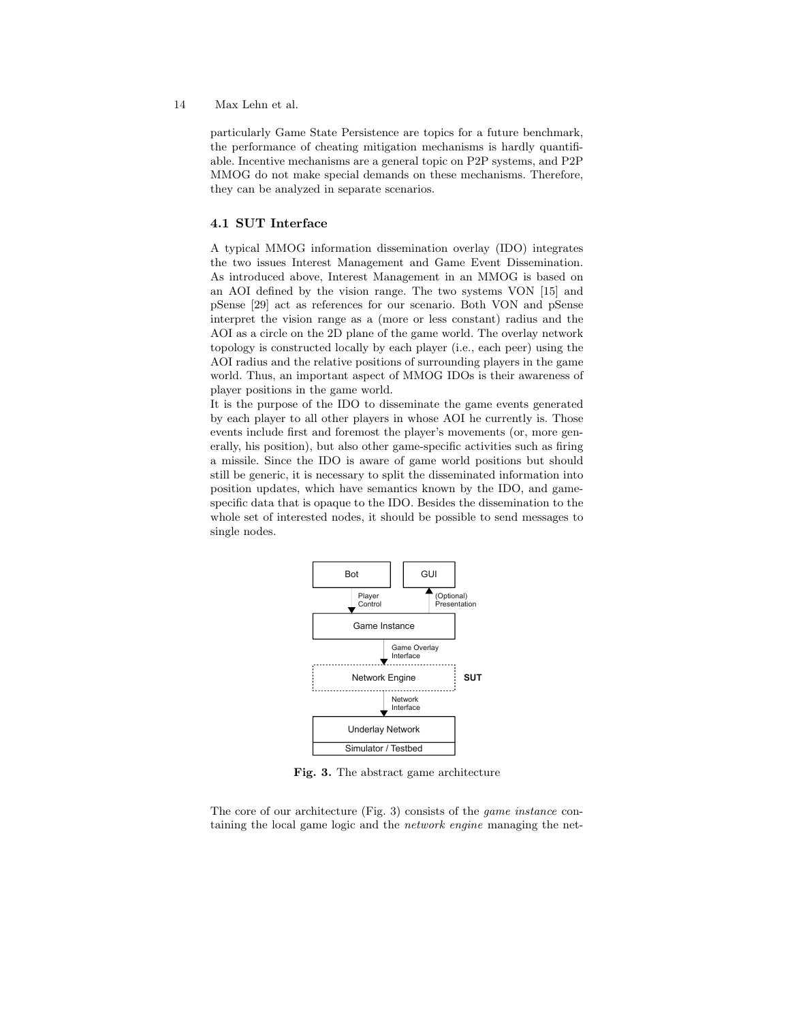particularly Game State Persistence are topics for a future benchmark, the performance of cheating mitigation mechanisms is hardly quantifiable. Incentive mechanisms are a general topic on P2P systems, and P2P MMOG do not make special demands on these mechanisms. Therefore, they can be analyzed in separate scenarios.

#### 4.1 SUT Interface

A typical MMOG information dissemination overlay (IDO) integrates the two issues Interest Management and Game Event Dissemination. As introduced above, Interest Management in an MMOG is based on an AOI defined by the vision range. The two systems VON [15] and pSense [29] act as references for our scenario. Both VON and pSense interpret the vision range as a (more or less constant) radius and the AOI as a circle on the 2D plane of the game world. The overlay network topology is constructed locally by each player (i.e., each peer) using the AOI radius and the relative positions of surrounding players in the game world. Thus, an important aspect of MMOG IDOs is their awareness of player positions in the game world.

It is the purpose of the IDO to disseminate the game events generated by each player to all other players in whose AOI he currently is. Those events include first and foremost the player's movements (or, more generally, his position), but also other game-specific activities such as firing a missile. Since the IDO is aware of game world positions but should still be generic, it is necessary to split the disseminated information into position updates, which have semantics known by the IDO, and gamespecific data that is opaque to the IDO. Besides the dissemination to the whole set of interested nodes, it should be possible to send messages to single nodes.



Fig. 3. The abstract game architecture

The core of our architecture (Fig. 3) consists of the game instance containing the local game logic and the network engine managing the net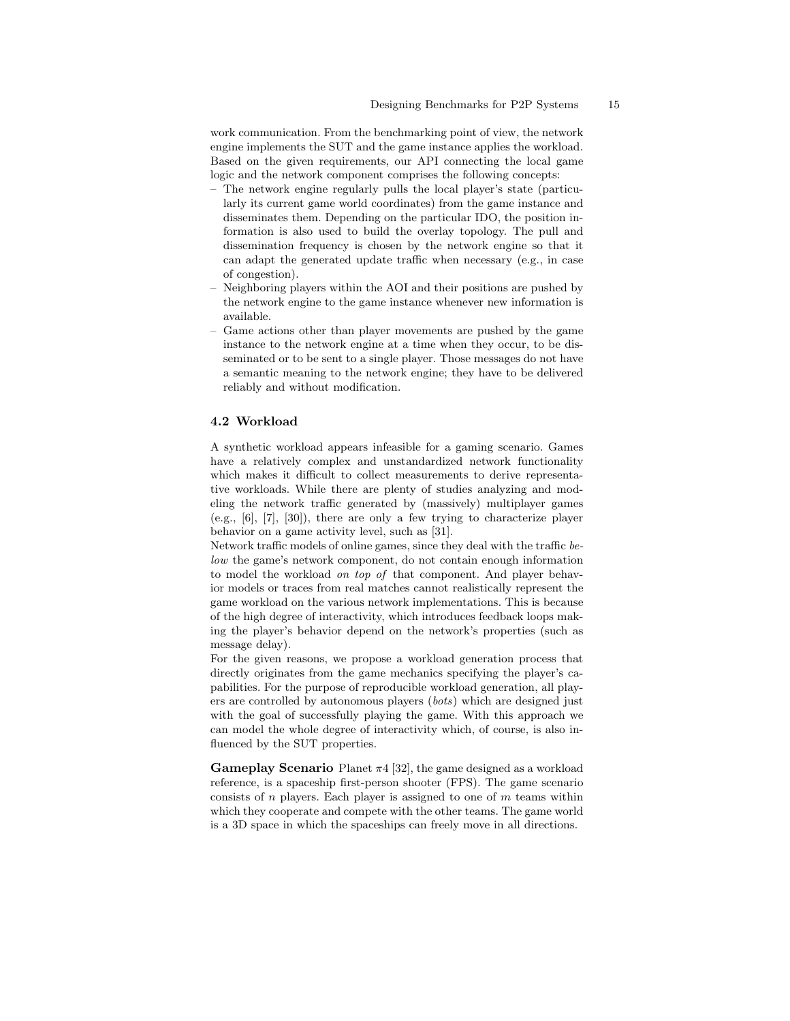work communication. From the benchmarking point of view, the network engine implements the SUT and the game instance applies the workload. Based on the given requirements, our API connecting the local game logic and the network component comprises the following concepts:

- The network engine regularly pulls the local player's state (particularly its current game world coordinates) from the game instance and disseminates them. Depending on the particular IDO, the position information is also used to build the overlay topology. The pull and dissemination frequency is chosen by the network engine so that it can adapt the generated update traffic when necessary (e.g., in case of congestion).
- Neighboring players within the AOI and their positions are pushed by the network engine to the game instance whenever new information is available.
- Game actions other than player movements are pushed by the game instance to the network engine at a time when they occur, to be disseminated or to be sent to a single player. Those messages do not have a semantic meaning to the network engine; they have to be delivered reliably and without modification.

#### 4.2 Workload

A synthetic workload appears infeasible for a gaming scenario. Games have a relatively complex and unstandardized network functionality which makes it difficult to collect measurements to derive representative workloads. While there are plenty of studies analyzing and modeling the network traffic generated by (massively) multiplayer games (e.g., [6], [7], [30]), there are only a few trying to characterize player behavior on a game activity level, such as [31].

Network traffic models of online games, since they deal with the traffic below the game's network component, do not contain enough information to model the workload on top of that component. And player behavior models or traces from real matches cannot realistically represent the game workload on the various network implementations. This is because of the high degree of interactivity, which introduces feedback loops making the player's behavior depend on the network's properties (such as message delay).

For the given reasons, we propose a workload generation process that directly originates from the game mechanics specifying the player's capabilities. For the purpose of reproducible workload generation, all players are controlled by autonomous players (bots) which are designed just with the goal of successfully playing the game. With this approach we can model the whole degree of interactivity which, of course, is also influenced by the SUT properties.

**Gameplay Scenario** Planet  $\pi$ 4 [32], the game designed as a workload reference, is a spaceship first-person shooter (FPS). The game scenario consists of  $n$  players. Each player is assigned to one of  $m$  teams within which they cooperate and compete with the other teams. The game world is a 3D space in which the spaceships can freely move in all directions.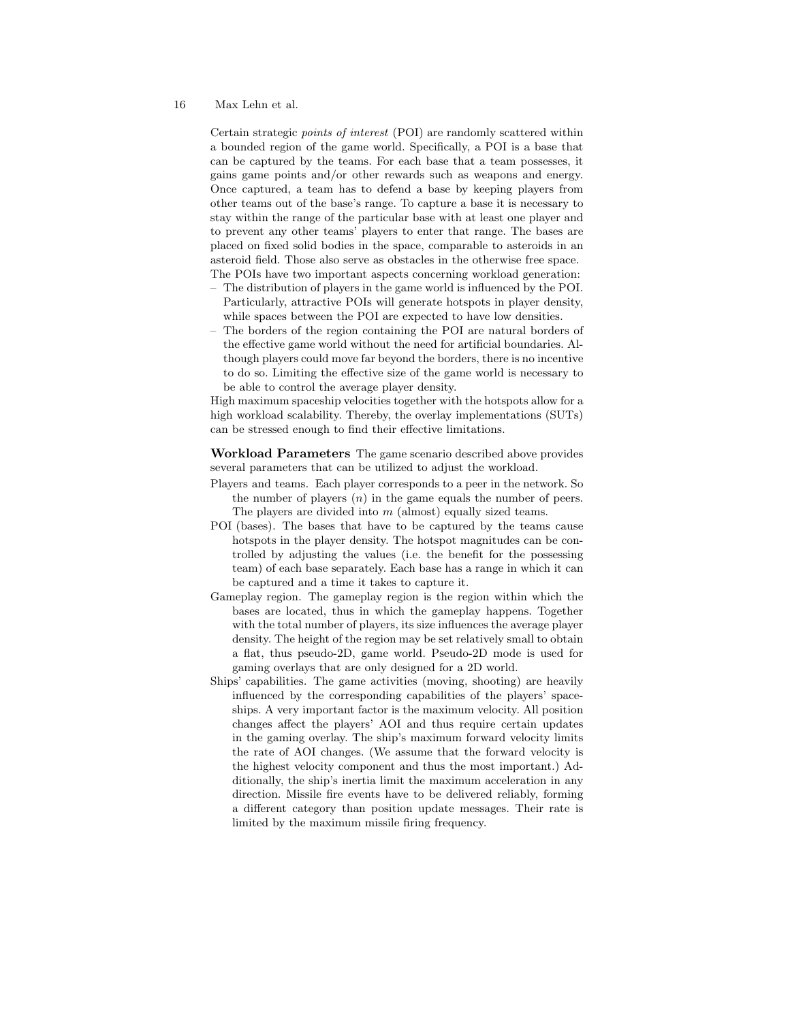Certain strategic points of interest (POI) are randomly scattered within a bounded region of the game world. Specifically, a POI is a base that can be captured by the teams. For each base that a team possesses, it gains game points and/or other rewards such as weapons and energy. Once captured, a team has to defend a base by keeping players from other teams out of the base's range. To capture a base it is necessary to stay within the range of the particular base with at least one player and to prevent any other teams' players to enter that range. The bases are placed on fixed solid bodies in the space, comparable to asteroids in an asteroid field. Those also serve as obstacles in the otherwise free space. The POIs have two important aspects concerning workload generation:

- The distribution of players in the game world is influenced by the POI. Particularly, attractive POIs will generate hotspots in player density, while spaces between the POI are expected to have low densities.
- The borders of the region containing the POI are natural borders of the effective game world without the need for artificial boundaries. Although players could move far beyond the borders, there is no incentive to do so. Limiting the effective size of the game world is necessary to be able to control the average player density.

High maximum spaceship velocities together with the hotspots allow for a high workload scalability. Thereby, the overlay implementations (SUTs) can be stressed enough to find their effective limitations.

Workload Parameters The game scenario described above provides several parameters that can be utilized to adjust the workload.

- Players and teams. Each player corresponds to a peer in the network. So the number of players  $(n)$  in the game equals the number of peers. The players are divided into m (almost) equally sized teams.
- POI (bases). The bases that have to be captured by the teams cause hotspots in the player density. The hotspot magnitudes can be controlled by adjusting the values (i.e. the benefit for the possessing team) of each base separately. Each base has a range in which it can be captured and a time it takes to capture it.
- Gameplay region. The gameplay region is the region within which the bases are located, thus in which the gameplay happens. Together with the total number of players, its size influences the average player density. The height of the region may be set relatively small to obtain a flat, thus pseudo-2D, game world. Pseudo-2D mode is used for gaming overlays that are only designed for a 2D world.
- Ships' capabilities. The game activities (moving, shooting) are heavily influenced by the corresponding capabilities of the players' spaceships. A very important factor is the maximum velocity. All position changes affect the players' AOI and thus require certain updates in the gaming overlay. The ship's maximum forward velocity limits the rate of AOI changes. (We assume that the forward velocity is the highest velocity component and thus the most important.) Additionally, the ship's inertia limit the maximum acceleration in any direction. Missile fire events have to be delivered reliably, forming a different category than position update messages. Their rate is limited by the maximum missile firing frequency.

<sup>16</sup> Max Lehn et al.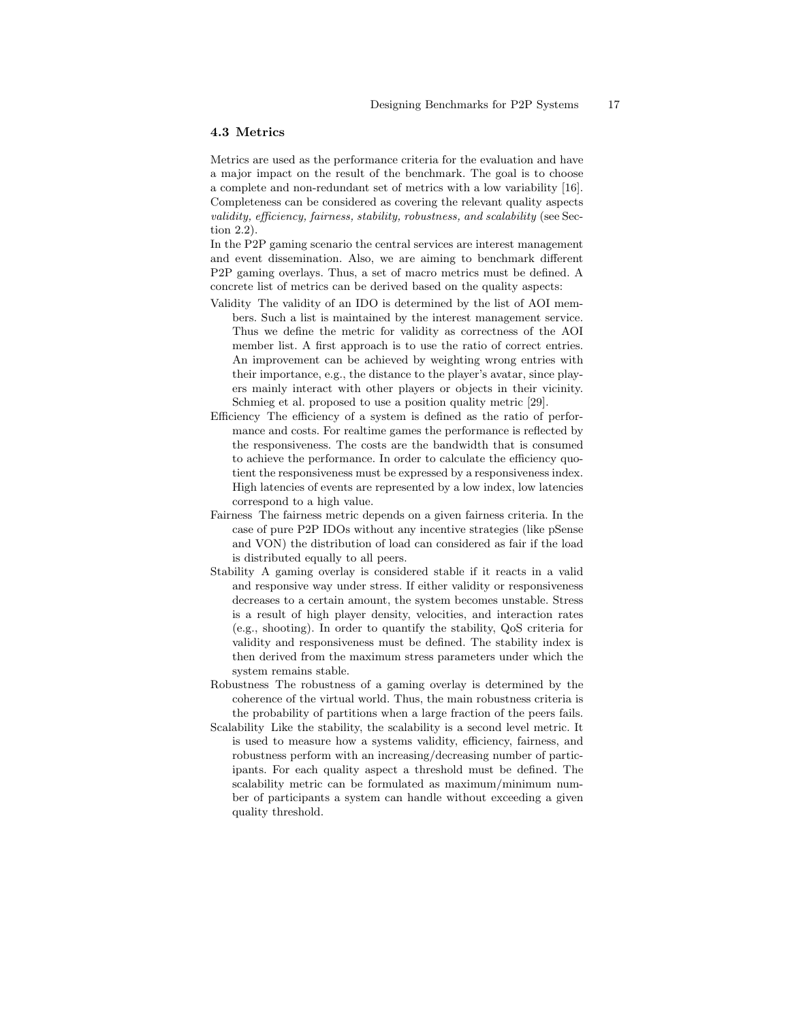#### 4.3 Metrics

Metrics are used as the performance criteria for the evaluation and have a major impact on the result of the benchmark. The goal is to choose a complete and non-redundant set of metrics with a low variability [16]. Completeness can be considered as covering the relevant quality aspects validity, efficiency, fairness, stability, robustness, and scalability (see Section 2.2).

In the P2P gaming scenario the central services are interest management and event dissemination. Also, we are aiming to benchmark different P2P gaming overlays. Thus, a set of macro metrics must be defined. A concrete list of metrics can be derived based on the quality aspects:

- Validity The validity of an IDO is determined by the list of AOI members. Such a list is maintained by the interest management service. Thus we define the metric for validity as correctness of the AOI member list. A first approach is to use the ratio of correct entries. An improvement can be achieved by weighting wrong entries with their importance, e.g., the distance to the player's avatar, since players mainly interact with other players or objects in their vicinity. Schmieg et al. proposed to use a position quality metric [29].
- Efficiency The efficiency of a system is defined as the ratio of performance and costs. For realtime games the performance is reflected by the responsiveness. The costs are the bandwidth that is consumed to achieve the performance. In order to calculate the efficiency quotient the responsiveness must be expressed by a responsiveness index. High latencies of events are represented by a low index, low latencies correspond to a high value.
- Fairness The fairness metric depends on a given fairness criteria. In the case of pure P2P IDOs without any incentive strategies (like pSense and VON) the distribution of load can considered as fair if the load is distributed equally to all peers.
- Stability A gaming overlay is considered stable if it reacts in a valid and responsive way under stress. If either validity or responsiveness decreases to a certain amount, the system becomes unstable. Stress is a result of high player density, velocities, and interaction rates (e.g., shooting). In order to quantify the stability, QoS criteria for validity and responsiveness must be defined. The stability index is then derived from the maximum stress parameters under which the system remains stable.
- Robustness The robustness of a gaming overlay is determined by the coherence of the virtual world. Thus, the main robustness criteria is the probability of partitions when a large fraction of the peers fails.
- Scalability Like the stability, the scalability is a second level metric. It is used to measure how a systems validity, efficiency, fairness, and robustness perform with an increasing/decreasing number of participants. For each quality aspect a threshold must be defined. The scalability metric can be formulated as maximum/minimum number of participants a system can handle without exceeding a given quality threshold.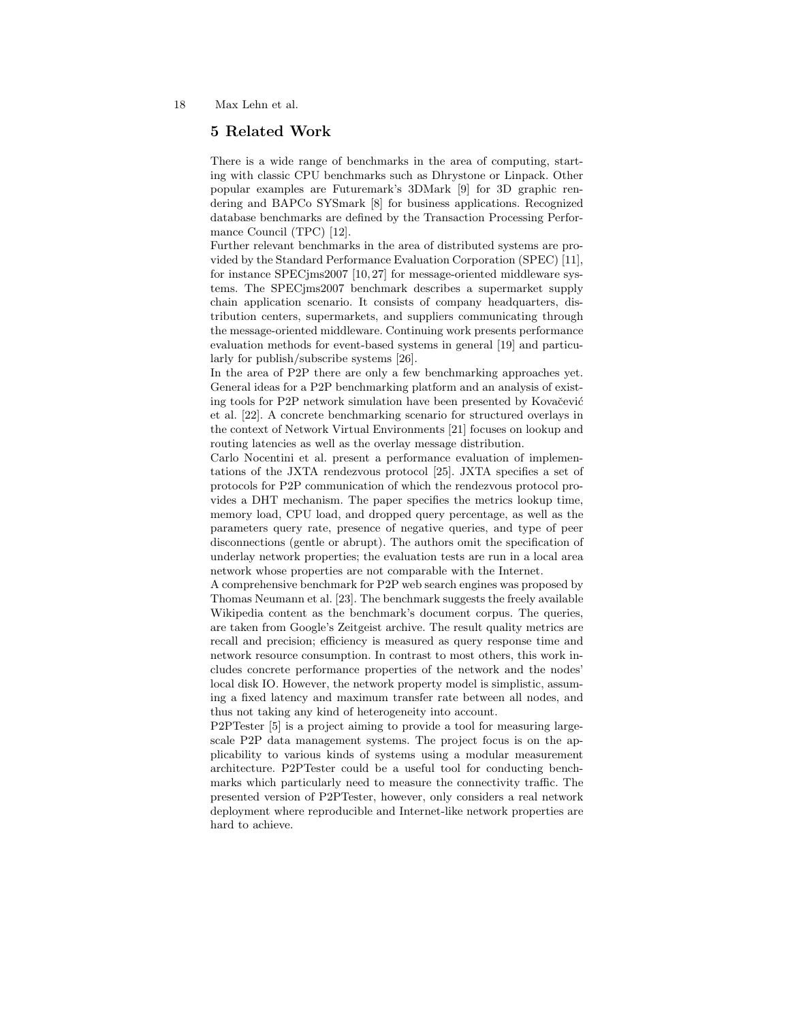# 5 Related Work

There is a wide range of benchmarks in the area of computing, starting with classic CPU benchmarks such as Dhrystone or Linpack. Other popular examples are Futuremark's 3DMark [9] for 3D graphic rendering and BAPCo SYSmark [8] for business applications. Recognized database benchmarks are defined by the Transaction Processing Performance Council (TPC) [12].

Further relevant benchmarks in the area of distributed systems are provided by the Standard Performance Evaluation Corporation (SPEC) [11], for instance SPECjms2007 [10, 27] for message-oriented middleware systems. The SPECjms2007 benchmark describes a supermarket supply chain application scenario. It consists of company headquarters, distribution centers, supermarkets, and suppliers communicating through the message-oriented middleware. Continuing work presents performance evaluation methods for event-based systems in general [19] and particularly for publish/subscribe systems [26].

In the area of P2P there are only a few benchmarking approaches yet. General ideas for a P2P benchmarking platform and an analysis of existing tools for P2P network simulation have been presented by Kovačević et al. [22]. A concrete benchmarking scenario for structured overlays in the context of Network Virtual Environments [21] focuses on lookup and routing latencies as well as the overlay message distribution.

Carlo Nocentini et al. present a performance evaluation of implementations of the JXTA rendezvous protocol [25]. JXTA specifies a set of protocols for P2P communication of which the rendezvous protocol provides a DHT mechanism. The paper specifies the metrics lookup time, memory load, CPU load, and dropped query percentage, as well as the parameters query rate, presence of negative queries, and type of peer disconnections (gentle or abrupt). The authors omit the specification of underlay network properties; the evaluation tests are run in a local area network whose properties are not comparable with the Internet.

A comprehensive benchmark for P2P web search engines was proposed by Thomas Neumann et al. [23]. The benchmark suggests the freely available Wikipedia content as the benchmark's document corpus. The queries, are taken from Google's Zeitgeist archive. The result quality metrics are recall and precision; efficiency is measured as query response time and network resource consumption. In contrast to most others, this work includes concrete performance properties of the network and the nodes' local disk IO. However, the network property model is simplistic, assuming a fixed latency and maximum transfer rate between all nodes, and thus not taking any kind of heterogeneity into account.

P2PTester [5] is a project aiming to provide a tool for measuring largescale P2P data management systems. The project focus is on the applicability to various kinds of systems using a modular measurement architecture. P2PTester could be a useful tool for conducting benchmarks which particularly need to measure the connectivity traffic. The presented version of P2PTester, however, only considers a real network deployment where reproducible and Internet-like network properties are hard to achieve.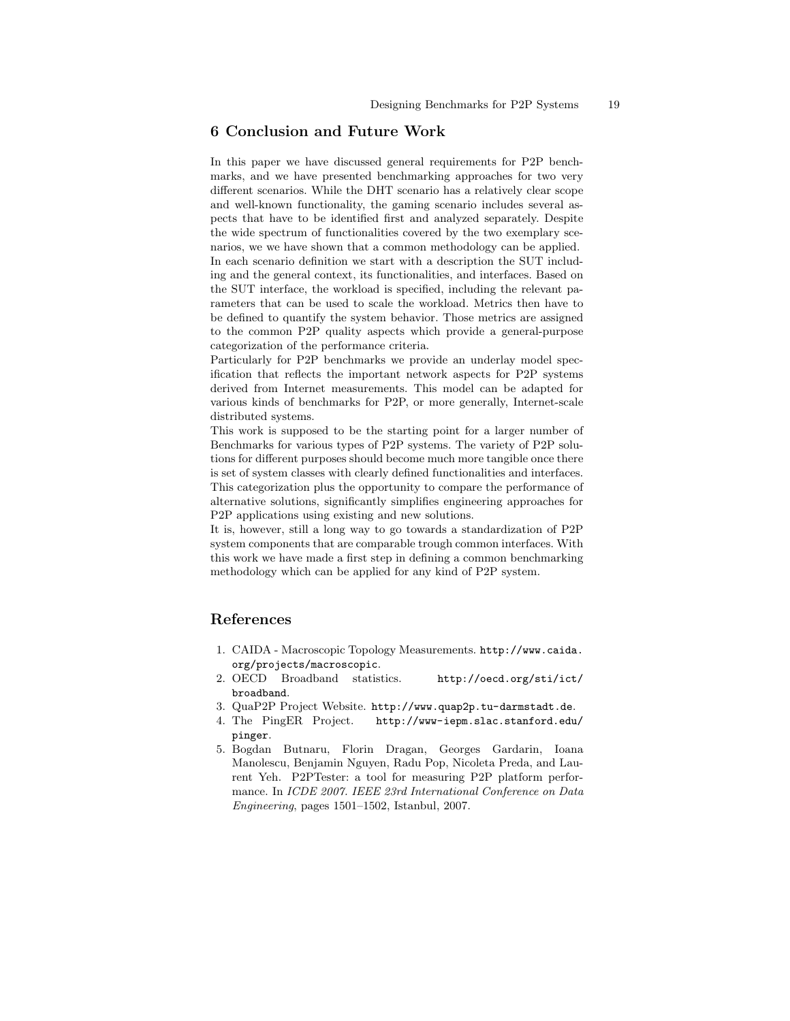# 6 Conclusion and Future Work

In this paper we have discussed general requirements for P2P benchmarks, and we have presented benchmarking approaches for two very different scenarios. While the DHT scenario has a relatively clear scope and well-known functionality, the gaming scenario includes several aspects that have to be identified first and analyzed separately. Despite the wide spectrum of functionalities covered by the two exemplary scenarios, we we have shown that a common methodology can be applied. In each scenario definition we start with a description the SUT including and the general context, its functionalities, and interfaces. Based on the SUT interface, the workload is specified, including the relevant parameters that can be used to scale the workload. Metrics then have to be defined to quantify the system behavior. Those metrics are assigned to the common P2P quality aspects which provide a general-purpose categorization of the performance criteria.

Particularly for P2P benchmarks we provide an underlay model specification that reflects the important network aspects for P2P systems derived from Internet measurements. This model can be adapted for various kinds of benchmarks for P2P, or more generally, Internet-scale distributed systems.

This work is supposed to be the starting point for a larger number of Benchmarks for various types of P2P systems. The variety of P2P solutions for different purposes should become much more tangible once there is set of system classes with clearly defined functionalities and interfaces. This categorization plus the opportunity to compare the performance of alternative solutions, significantly simplifies engineering approaches for P2P applications using existing and new solutions.

It is, however, still a long way to go towards a standardization of P2P system components that are comparable trough common interfaces. With this work we have made a first step in defining a common benchmarking methodology which can be applied for any kind of P2P system.

### References

- 1. CAIDA Macroscopic Topology Measurements. http://www.caida. org/projects/macroscopic.
- 2. OECD Broadband statistics. http://oecd.org/sti/ict/ broadband.
- 3. QuaP2P Project Website. http://www.quap2p.tu-darmstadt.de.
- 4. The PingER Project. http://www-iepm.slac.stanford.edu/ pinger.
- 5. Bogdan Butnaru, Florin Dragan, Georges Gardarin, Ioana Manolescu, Benjamin Nguyen, Radu Pop, Nicoleta Preda, and Laurent Yeh. P2PTester: a tool for measuring P2P platform performance. In ICDE 2007. IEEE 23rd International Conference on Data Engineering, pages 1501–1502, Istanbul, 2007.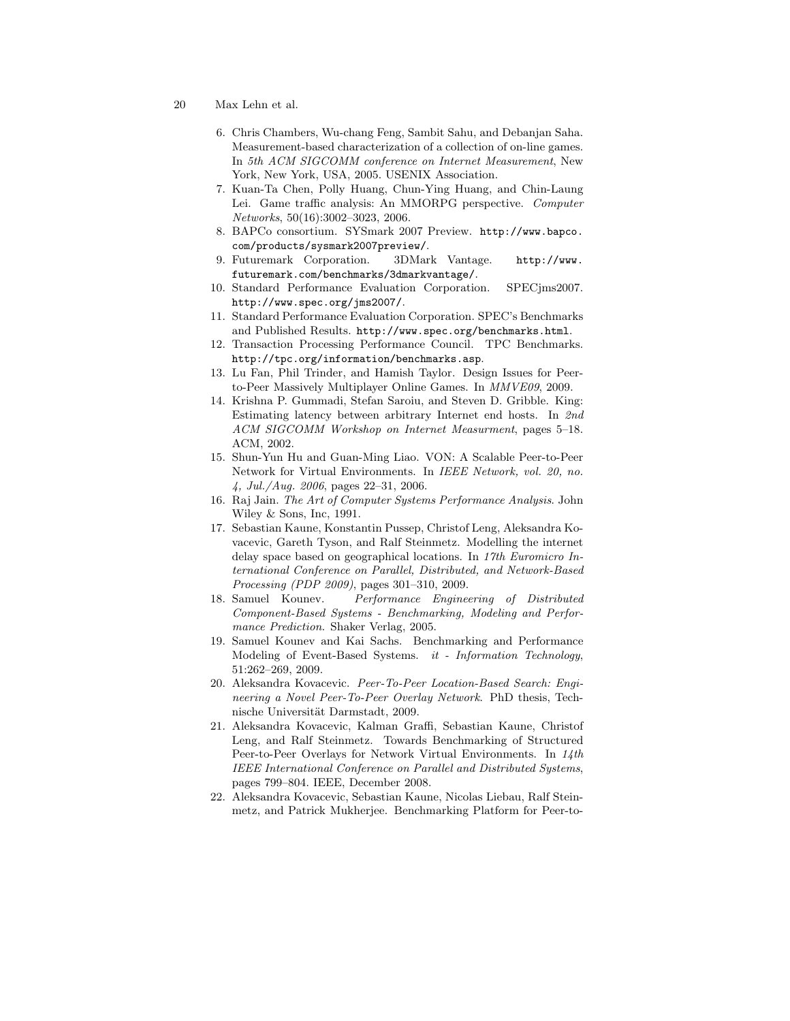- 20 Max Lehn et al.
	- 6. Chris Chambers, Wu-chang Feng, Sambit Sahu, and Debanjan Saha. Measurement-based characterization of a collection of on-line games. In 5th ACM SIGCOMM conference on Internet Measurement, New York, New York, USA, 2005. USENIX Association.
	- 7. Kuan-Ta Chen, Polly Huang, Chun-Ying Huang, and Chin-Laung Lei. Game traffic analysis: An MMORPG perspective. Computer Networks, 50(16):3002–3023, 2006.
	- 8. BAPCo consortium. SYSmark 2007 Preview. http://www.bapco. com/products/sysmark2007preview/.
	- 9. Futuremark Corporation. 3DMark Vantage. http://www. futuremark.com/benchmarks/3dmarkvantage/.
	- 10. Standard Performance Evaluation Corporation. SPECjms2007. http://www.spec.org/jms2007/.
	- 11. Standard Performance Evaluation Corporation. SPEC's Benchmarks and Published Results. http://www.spec.org/benchmarks.html.
	- 12. Transaction Processing Performance Council. TPC Benchmarks. http://tpc.org/information/benchmarks.asp.
	- 13. Lu Fan, Phil Trinder, and Hamish Taylor. Design Issues for Peerto-Peer Massively Multiplayer Online Games. In MMVE09, 2009.
	- 14. Krishna P. Gummadi, Stefan Saroiu, and Steven D. Gribble. King: Estimating latency between arbitrary Internet end hosts. In 2nd ACM SIGCOMM Workshop on Internet Measurment, pages 5–18. ACM, 2002.
	- 15. Shun-Yun Hu and Guan-Ming Liao. VON: A Scalable Peer-to-Peer Network for Virtual Environments. In IEEE Network, vol. 20, no. 4, Jul./Aug. 2006, pages 22–31, 2006.
	- 16. Raj Jain. The Art of Computer Systems Performance Analysis. John Wiley & Sons, Inc, 1991.
	- 17. Sebastian Kaune, Konstantin Pussep, Christof Leng, Aleksandra Kovacevic, Gareth Tyson, and Ralf Steinmetz. Modelling the internet delay space based on geographical locations. In 17th Euromicro International Conference on Parallel, Distributed, and Network-Based Processing (PDP 2009), pages 301–310, 2009.
	- 18. Samuel Kounev. Performance Engineering of Distributed Component-Based Systems - Benchmarking, Modeling and Performance Prediction. Shaker Verlag, 2005.
	- 19. Samuel Kounev and Kai Sachs. Benchmarking and Performance Modeling of Event-Based Systems. *it - Information Technology*, 51:262–269, 2009.
	- 20. Aleksandra Kovacevic. Peer-To-Peer Location-Based Search: Engineering a Novel Peer-To-Peer Overlay Network. PhD thesis, Technische Universität Darmstadt, 2009.
	- 21. Aleksandra Kovacevic, Kalman Graffi, Sebastian Kaune, Christof Leng, and Ralf Steinmetz. Towards Benchmarking of Structured Peer-to-Peer Overlays for Network Virtual Environments. In 14th IEEE International Conference on Parallel and Distributed Systems, pages 799–804. IEEE, December 2008.
	- 22. Aleksandra Kovacevic, Sebastian Kaune, Nicolas Liebau, Ralf Steinmetz, and Patrick Mukherjee. Benchmarking Platform for Peer-to-